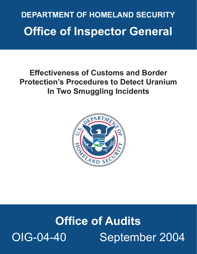## **Office of Inspector General DEPARTMENT OF HOMELAND SECURITY**

## **Effectiveness of Customs and Border Protection's Procedures to Detect Uranium In Two Smuggling Incidents**



# **Office of Audits**  OIG-04-40 September 2004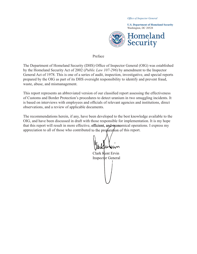*Office of Inspector General* 



#### Preface

The Department of Homeland Security (DHS) Office of Inspector General (OIG) was established by the Homeland Security Act of 2002 (*Public Law 107-296*) by amendment to the Inspector General Act of 1978. This is one of a series of audit, inspection, investigative, and special reports prepared by the OIG as part of its DHS oversight responsibility to identify and prevent fraud, waste, abuse, and mismanagement.

This report represents an abbreviated version of our classified report assessing the effectiveness of Customs and Border Protection's procedures to detect uranium in two smuggling incidents. It is based on interviews with employees and officials of relevant agencies and institutions, direct observations, and a review of applicable documents.

The recommendations herein, if any, have been developed to the best knowledge available to the OIG, and have been discussed in draft with those responsible for implementation. It is my hope appreciation to all of those who contributed to the preparation of this report. that this report will result in more effective, efficient, and economical operations. I express my

Clark Kent Ervin Inspector General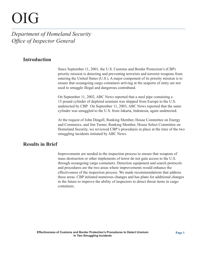# OIG

*Department of Homeland Security Office of Inspector General* 

## **Introduction**

Since September 11, 2001, the U.S. Customs and Border Protection's (CBP) priority mission is detecting and preventing terrorists and terrorist weapons from entering the United States (U.S.). A major component of its priority mission is to ensure that oceangoing cargo containers arriving at the seaports of entry are not used to smuggle illegal and dangerous contraband.

On September 11, 2002, ABC News reported that a steel pipe containing a 15 pound cylinder of depleted uranium was shipped from Europe to the U.S. undetected by CBP. On September 11, 2003, ABC News reported that the same cylinder was smuggled to the U.S. from Jakarta, Indonesia, again undetected.

At the request of John Dingell, Ranking Member, House Committee on Energy and Commerce, and Jim Turner, Ranking Member, House Select Committee on Homeland Security, we reviewed CBP's procedures in place at the time of the two smuggling incidents initiated by ABC News.

## **Results in Brief**

Improvements are needed in the inspection process to ensure that weapons of mass destruction or other implements of terror do not gain access to the U.S. through oceangoing cargo containers. Detection equipment and search protocols and procedures are the two areas where improvements would enhance the effectiveness of the inspection process. We made recommendations that address these areas. CBP initiated numerous changes and has plans for additional changes in the future to improve the ability of inspectors to detect threat items in cargo containers.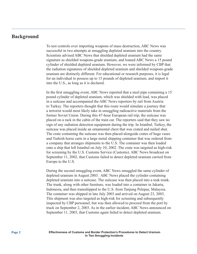## **Background**

To test controls over importing weapons of mass destruction, ABC News was successful in two attempts at smuggling depleted uranium into the country. Scientists advised ABC News that shielded depleted uranium had the same signature as shielded weapons-grade uranium, and loaned ABC News a 15 pound cylinder of shielded depleted uranium. However, we were informed by CBP that the radiation signatures of shielded depleted uranium and shielded weapons-grade uranium are distinctly different. For educational or research purposes, it is legal for an individual to possess up to 15 pounds of depleted uranium, and import it into the U.S., as long as it is declared.

In the first smuggling event, ABC News reported that a steel pipe containing a 15 pound cylinder of depleted uranium, which was shielded with lead, was placed in a suitcase and accompanied the ABC News reporters by rail from Austria to Turkey. The reporters thought that this route would simulate a journey that a terrorist would most likely take in smuggling radioactive materials from the former Soviet Union. During this 47-hour European rail trip, the suitcase was placed on a rack in the cabin of the train car. The reporters said that they saw no sign of any radiation detection equipment during the trip. In Istanbul, Turkey, the suitcase was placed inside an ornamental chest that was crated and nailed shut. The crate containing the suitcase was then placed alongside crates of huge vases and Turkish horse carts in a large metal shipping container that was ordered from a company that arranges shipments to the U.S. The container was then loaded onto a ship that left Istanbul on July 10, 2002. The crate was targeted as high-risk for screening by the U.S. Customs Service (Customs). ABC News broadcast on September 11, 2002, that Customs failed to detect depleted uranium carried from Europe to the U.S.

During the second smuggling event, ABC News smuggled the same cylinder of depleted uranium in August 2003. ABC News placed the cylinder containing depleted uranium into a suitcase. The suitcase was then placed into a teak trunk. The trunk, along with other furniture, was loaded into a container in Jakarta, Indonesia, and then transshipped to the U.S. from Tanjung Pelepas, Malaysia. The container was shipped in late July 2003 and arrived on August 23, 2003. This shipment was also targeted as high-risk for screening and subsequently inspected by CBP personnel, but was then allowed to proceed from the port by truck on September 2, 2003. As in the earlier incident, ABC News announced on September 11, 2003, that Customs again failed to detect depleted uranium.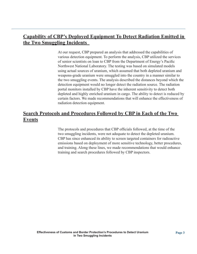## **Capability of CBP's Deployed Equipment To Detect Radiation Emitted in the Two Smuggling Incidents**

At our request, CBP prepared an analysis that addressed the capabilities of various detection equipment. To perform the analysis, CBP utilized the services of senior scientists on loan to CBP from the Department of Energy's Pacific Northwest National Laboratory. The testing was based on simulated models using actual sources of uranium, which assumed that both depleted uranium and weapons-grade uranium were smuggled into the country in a manner similar to the two smuggling events. The analysis described the distances beyond which the detection equipment would no longer detect the radiation source. The radiation portal monitors installed by CBP have the inherent sensitivity to detect both depleted and highly enriched uranium in cargo. The ability to detect is reduced by certain factors. We made recommendations that will enhance the effectiveness of radiation detection equipment.

## **Search Protocols and Procedures Followed by CBP in Each of the Two Events**

The protocols and procedures that CBP officials followed, at the time of the two smuggling incidents, were not adequate to detect the depleted uranium. CBP has since enhanced its ability to screen targeted containers for radioactive emissions based on deployment of more sensitive technology, better procedures, and training. Along these lines, we made recommendations that would enhance training and search procedures followed by CBP inspectors.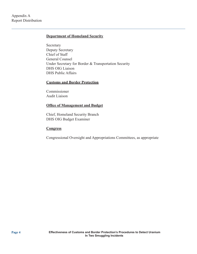## **Department of Homeland Security**

Secretary Deputy Secretary Chief of Staff General Counsel Under Secretary for Border & Transportation Security DHS OIG Liaison DHS Public Affairs

#### **Customs and Border Protection**

Commissioner Audit Liaison

#### **Office of Management and Budget**

Chief, Homeland Security Branch DHS OIG Budget Examiner

#### **Congress**

Congressional Oversight and Appropriations Committees, as appropriate